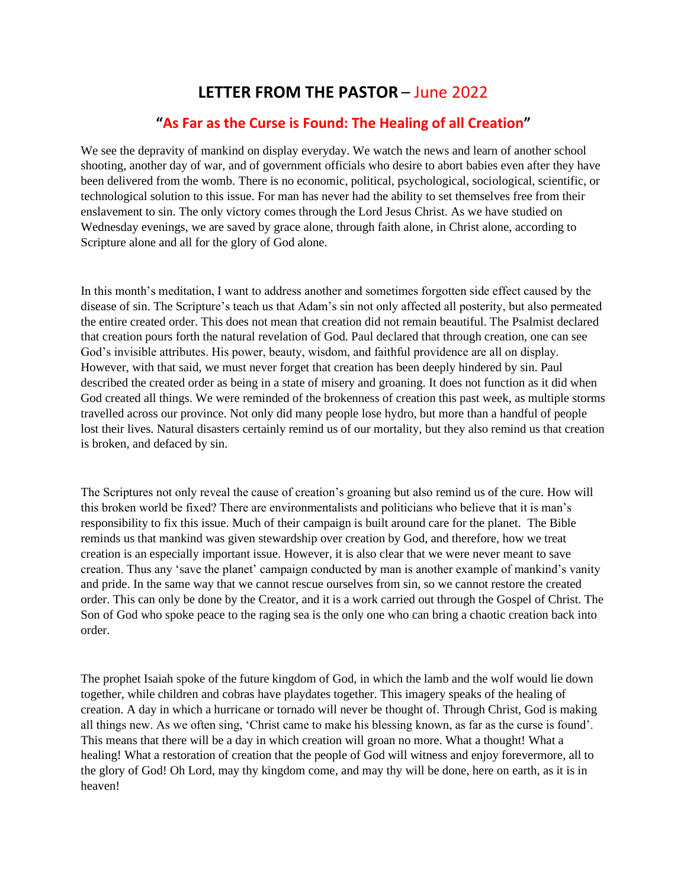## **LETTER FROM THE PASTOR** – June 2022

## **"As Far as the Curse is Found: The Healing of all Creation"**

We see the depravity of mankind on display everyday. We watch the news and learn of another school shooting, another day of war, and of government officials who desire to abort babies even after they have been delivered from the womb. There is no economic, political, psychological, sociological, scientific, or technological solution to this issue. For man has never had the ability to set themselves free from their enslavement to sin. The only victory comes through the Lord Jesus Christ. As we have studied on Wednesday evenings, we are saved by grace alone, through faith alone, in Christ alone, according to Scripture alone and all for the glory of God alone.

In this month's meditation, I want to address another and sometimes forgotten side effect caused by the disease of sin. The Scripture's teach us that Adam's sin not only affected all posterity, but also permeated the entire created order. This does not mean that creation did not remain beautiful. The Psalmist declared that creation pours forth the natural revelation of God. Paul declared that through creation, one can see God's invisible attributes. His power, beauty, wisdom, and faithful providence are all on display. However, with that said, we must never forget that creation has been deeply hindered by sin. Paul described the created order as being in a state of misery and groaning. It does not function as it did when God created all things. We were reminded of the brokenness of creation this past week, as multiple storms travelled across our province. Not only did many people lose hydro, but more than a handful of people lost their lives. Natural disasters certainly remind us of our mortality, but they also remind us that creation is broken, and defaced by sin.

The Scriptures not only reveal the cause of creation's groaning but also remind us of the cure. How will this broken world be fixed? There are environmentalists and politicians who believe that it is man's responsibility to fix this issue. Much of their campaign is built around care for the planet. The Bible reminds us that mankind was given stewardship over creation by God, and therefore, how we treat creation is an especially important issue. However, it is also clear that we were never meant to save creation. Thus any 'save the planet' campaign conducted by man is another example of mankind's vanity and pride. In the same way that we cannot rescue ourselves from sin, so we cannot restore the created order. This can only be done by the Creator, and it is a work carried out through the Gospel of Christ. The Son of God who spoke peace to the raging sea is the only one who can bring a chaotic creation back into order.

The prophet Isaiah spoke of the future kingdom of God, in which the lamb and the wolf would lie down together, while children and cobras have playdates together. This imagery speaks of the healing of creation. A day in which a hurricane or tornado will never be thought of. Through Christ, God is making all things new. As we often sing, 'Christ came to make his blessing known, as far as the curse is found'. This means that there will be a day in which creation will groan no more. What a thought! What a healing! What a restoration of creation that the people of God will witness and enjoy forevermore, all to the glory of God! Oh Lord, may thy kingdom come, and may thy will be done, here on earth, as it is in heaven!